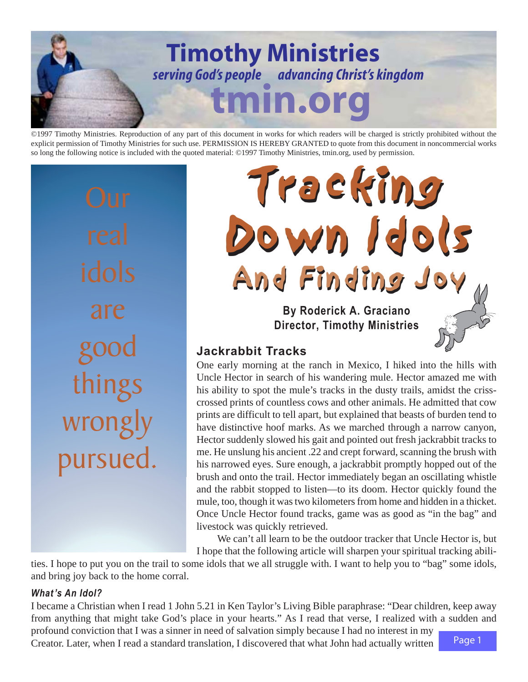

©1997 Timothy Ministries. Reproduction of any part of this document in works for which readers will be charged is strictly prohibited without the explicit permission of Timothy Ministries for such use. PERMISSION IS HEREBY GRANTED to quote from this document in noncommercial works so long the following notice is included with the quoted material: ©1997 Timothy Ministries, tmin.org, used by permission.

are good ings wrong pursued.

**By Roderick A. Graciano Director, Timothy Ministries** Tracking Tracking Down Idols Down Idols And Finding Joy And Finding Joy

# **Jackrabbit Tracks**

One early morning at the ranch in Mexico, I hiked into the hills with Uncle Hector in search of his wandering mule. Hector amazed me with his ability to spot the mule's tracks in the dusty trails, amidst the crisscrossed prints of countless cows and other animals. He admitted that cow prints are difficult to tell apart, but explained that beasts of burden tend to have distinctive hoof marks. As we marched through a narrow canyon, Hector suddenly slowed his gait and pointed out fresh jackrabbit tracks to me. He unslung his ancient .22 and crept forward, scanning the brush with his narrowed eyes. Sure enough, a jackrabbit promptly hopped out of the brush and onto the trail. Hector immediately began an oscillating whistle and the rabbit stopped to listen—to its doom. Hector quickly found the mule, too, though it was two kilometers from home and hidden in a thicket. Once Uncle Hector found tracks, game was as good as "in the bag" and livestock was quickly retrieved.

We can't all learn to be the outdoor tracker that Uncle Hector is, but I hope that the following article will sharpen your spiritual tracking abili-

ties. I hope to put you on the trail to some idols that we all struggle with. I want to help you to "bag" some idols, and bring joy back to the home corral.

## *What 's An Idol?*

I became a Christian when I read 1 John 5.21 in Ken Taylor's Living Bible paraphrase: "Dear children, keep away from anything that might take God's place in your hearts." As I read that verse, I realized with a sudden and profound conviction that I was a sinner in need of salvation simply because I had no interest in my

Creator. Later, when I read a standard translation, I discovered that what John had actually written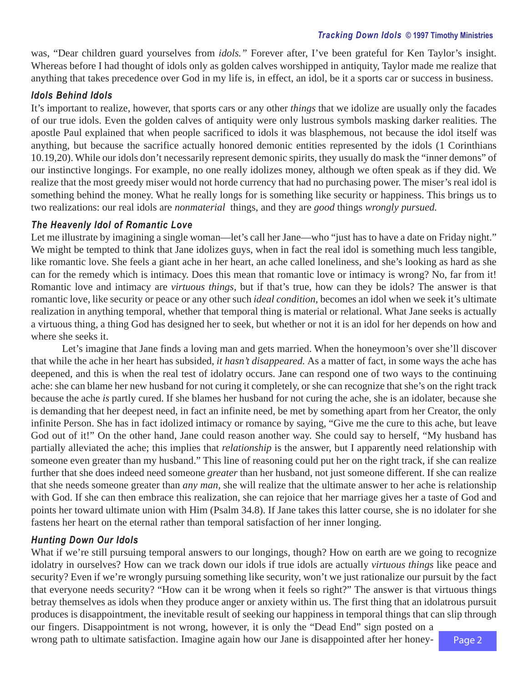#### *Tracking Down Idols* **© 1997 Timothy Ministries**

was, "Dear children guard yourselves from *idols."* Forever after, I've been grateful for Ken Taylor's insight. Whereas before I had thought of idols only as golden calves worshipped in antiquity, Taylor made me realize that anything that takes precedence over God in my life is, in effect, an idol, be it a sports car or success in business.

#### *Idols Behind Idols*

It's important to realize, however, that sports cars or any other *things* that we idolize are usually only the facades of our true idols. Even the golden calves of antiquity were only lustrous symbols masking darker realities. The apostle Paul explained that when people sacrificed to idols it was blasphemous, not because the idol itself was anything, but because the sacrifice actually honored demonic entities represented by the idols (1 Corinthians 10.19,20). While our idols don't necessarily represent demonic spirits, they usually do mask the "inner demons" of our instinctive longings. For example, no one really idolizes money, although we often speak as if they did. We realize that the most greedy miser would not horde currency that had no purchasing power. The miser's real idol is something behind the money. What he really longs for is something like security or happiness. This brings us to two realizations: our real idols are *nonmaterial* things, and they are *good* things *wrongly pursued.*

#### *The Heavenly Idol of Romantic Love*

Let me illustrate by imagining a single woman—let's call her Jane—who "just has to have a date on Friday night." We might be tempted to think that Jane idolizes guys, when in fact the real idol is something much less tangible, like romantic love. She feels a giant ache in her heart, an ache called loneliness, and she's looking as hard as she can for the remedy which is intimacy. Does this mean that romantic love or intimacy is wrong? No, far from it! Romantic love and intimacy are *virtuous things,* but if that's true, how can they be idols? The answer is that romantic love, like security or peace or any other such *ideal condition,* becomes an idol when we seek it's ultimate realization in anything temporal, whether that temporal thing is material or relational. What Jane seeks is actually a virtuous thing, a thing God has designed her to seek, but whether or not it is an idol for her depends on how and where she seeks it.

Let's imagine that Jane finds a loving man and gets married. When the honeymoon's over she'll discover that while the ache in her heart has subsided, *it hasn't disappeared.* As a matter of fact, in some ways the ache has deepened, and this is when the real test of idolatry occurs. Jane can respond one of two ways to the continuing ache: she can blame her new husband for not curing it completely, or she can recognize that she's on the right track because the ache *is* partly cured. If she blames her husband for not curing the ache, she is an idolater, because she is demanding that her deepest need, in fact an infinite need, be met by something apart from her Creator, the only infinite Person. She has in fact idolized intimacy or romance by saying, "Give me the cure to this ache, but leave God out of it!" On the other hand, Jane could reason another way. She could say to herself, "My husband has partially alleviated the ache; this implies that *relationship* is the answer, but I apparently need relationship with someone even greater than my husband." This line of reasoning could put her on the right track, if she can realize further that she does indeed need someone *greater* than her husband, not just someone different. If she can realize that she needs someone greater than *any man,* she will realize that the ultimate answer to her ache is relationship with God. If she can then embrace this realization, she can rejoice that her marriage gives her a taste of God and points her toward ultimate union with Him (Psalm 34.8). If Jane takes this latter course, she is no idolater for she fastens her heart on the eternal rather than temporal satisfaction of her inner longing.

#### *Hunting Down Our Idols*

What if we're still pursuing temporal answers to our longings, though? How on earth are we going to recognize idolatry in ourselves? How can we track down our idols if true idols are actually *virtuous things* like peace and security? Even if we're wrongly pursuing something like security, won't we just rationalize our pursuit by the fact that everyone needs security? "How can it be wrong when it feels so right?" The answer is that virtuous things betray themselves as idols when they produce anger or anxiety within us. The first thing that an idolatrous pursuit produces is disappointment, the inevitable result of seeking our happiness in temporal things that can slip through

our fingers. Disappointment is not wrong, however, it is only the "Dead End" sign posted on a wrong path to ultimate satisfaction. Imagine again how our Jane is disappointed after her honey-

Page 2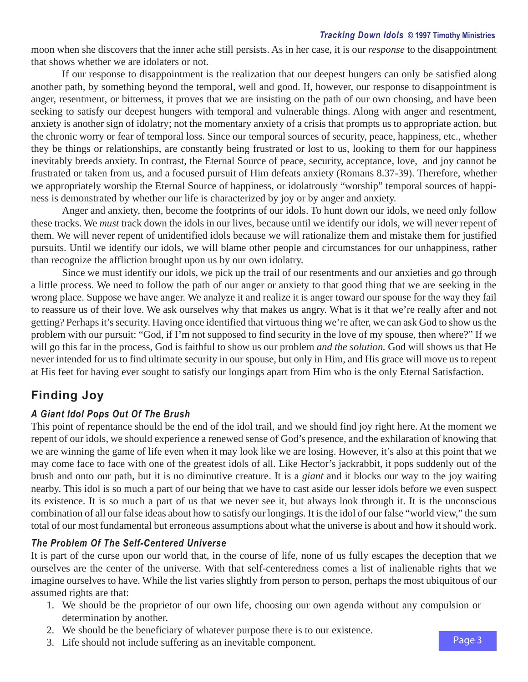moon when she discovers that the inner ache still persists. As in her case, it is our *response* to the disappointment that shows whether we are idolaters or not.

If our response to disappointment is the realization that our deepest hungers can only be satisfied along another path, by something beyond the temporal, well and good. If, however, our response to disappointment is anger, resentment, or bitterness, it proves that we are insisting on the path of our own choosing, and have been seeking to satisfy our deepest hungers with temporal and vulnerable things. Along with anger and resentment, anxiety is another sign of idolatry; not the momentary anxiety of a crisis that prompts us to appropriate action, but the chronic worry or fear of temporal loss. Since our temporal sources of security, peace, happiness, etc., whether they be things or relationships, are constantly being frustrated or lost to us, looking to them for our happiness inevitably breeds anxiety. In contrast, the Eternal Source of peace, security, acceptance, love, and joy cannot be frustrated or taken from us, and a focused pursuit of Him defeats anxiety (Romans 8.37-39). Therefore, whether we appropriately worship the Eternal Source of happiness, or idolatrously "worship" temporal sources of happiness is demonstrated by whether our life is characterized by joy or by anger and anxiety.

Anger and anxiety, then, become the footprints of our idols. To hunt down our idols, we need only follow these tracks. We *must* track down the idols in our lives, because until we identify our idols, we will never repent of them. We will never repent of unidentified idols because we will rationalize them and mistake them for justified pursuits. Until we identify our idols, we will blame other people and circumstances for our unhappiness, rather than recognize the affliction brought upon us by our own idolatry.

Since we must identify our idols, we pick up the trail of our resentments and our anxieties and go through a little process. We need to follow the path of our anger or anxiety to that good thing that we are seeking in the wrong place. Suppose we have anger. We analyze it and realize it is anger toward our spouse for the way they fail to reassure us of their love. We ask ourselves why that makes us angry. What is it that we're really after and not getting? Perhaps it's security. Having once identified that virtuous thing we're after, we can ask God to show us the problem with our pursuit: "God, if I'm not supposed to find security in the love of my spouse, then where?" If we will go this far in the process, God is faithful to show us our problem *and the solution.* God will shows us that He never intended for us to find ultimate security in our spouse, but only in Him, and His grace will move us to repent at His feet for having ever sought to satisfy our longings apart from Him who is the only Eternal Satisfaction.

# **Finding Joy**

## *A Giant Idol Pops Out Of The Brush*

This point of repentance should be the end of the idol trail, and we should find joy right here. At the moment we repent of our idols, we should experience a renewed sense of God's presence, and the exhilaration of knowing that we are winning the game of life even when it may look like we are losing. However, it's also at this point that we may come face to face with one of the greatest idols of all. Like Hector's jackrabbit, it pops suddenly out of the brush and onto our path, but it is no diminutive creature. It is a *giant* and it blocks our way to the joy waiting nearby. This idol is so much a part of our being that we have to cast aside our lesser idols before we even suspect its existence. It is so much a part of us that we never see it, but always look through it. It is the unconscious combination of all our false ideas about how to satisfy our longings. It is the idol of our false "world view," the sum total of our most fundamental but erroneous assumptions about what the universe is about and how it should work.

## *The Problem Of The Self-Centered Universe*

It is part of the curse upon our world that, in the course of life, none of us fully escapes the deception that we ourselves are the center of the universe. With that self-centeredness comes a list of inalienable rights that we imagine ourselves to have. While the list varies slightly from person to person, perhaps the most ubiquitous of our assumed rights are that:

- 1. We should be the proprietor of our own life, choosing our own agenda without any compulsion or determination by another.
- 2. We should be the beneficiary of whatever purpose there is to our existence.
- 3. Life should not include suffering as an inevitable component.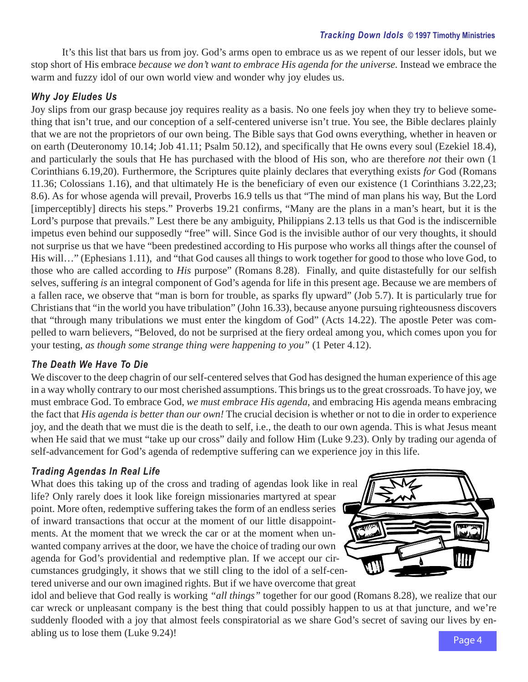It's this list that bars us from joy. God's arms open to embrace us as we repent of our lesser idols, but we stop short of His embrace *because we don't want to embrace His agenda for the universe.* Instead we embrace the warm and fuzzy idol of our own world view and wonder why joy eludes us.

## *Why Joy Eludes Us*

Joy slips from our grasp because joy requires reality as a basis. No one feels joy when they try to believe something that isn't true, and our conception of a self-centered universe isn't true. You see, the Bible declares plainly that we are not the proprietors of our own being. The Bible says that God owns everything, whether in heaven or on earth (Deuteronomy 10.14; Job 41.11; Psalm 50.12), and specifically that He owns every soul (Ezekiel 18.4), and particularly the souls that He has purchased with the blood of His son, who are therefore *not* their own (1 Corinthians 6.19,20). Furthermore, the Scriptures quite plainly declares that everything exists *for* God (Romans 11.36; Colossians 1.16), and that ultimately He is the beneficiary of even our existence (1 Corinthians 3.22,23; 8.6). As for whose agenda will prevail, Proverbs 16.9 tells us that "The mind of man plans his way, But the Lord [imperceptibly] directs his steps." Proverbs 19.21 confirms, "Many are the plans in a man's heart, but it is the Lord's purpose that prevails." Lest there be any ambiguity, Philippians 2.13 tells us that God is the indiscernible impetus even behind our supposedly "free" will. Since God is the invisible author of our very thoughts, it should not surprise us that we have "been predestined according to His purpose who works all things after the counsel of His will…" (Ephesians 1.11), and "that God causes all things to work together for good to those who love God, to those who are called according to *His* purpose" (Romans 8.28). Finally, and quite distastefully for our selfish selves, suffering *is* an integral component of God's agenda for life in this present age. Because we are members of a fallen race, we observe that "man is born for trouble, as sparks fly upward" (Job 5.7). It is particularly true for Christians that "in the world you have tribulation" (John 16.33), because anyone pursuing righteousness discovers that "through many tribulations we must enter the kingdom of God" (Acts 14.22). The apostle Peter was compelled to warn believers, "Beloved, do not be surprised at the fiery ordeal among you, which comes upon you for your testing, *as though some strange thing were happening to you"* (1 Peter 4.12).

## *The Death We Have To Die*

We discover to the deep chagrin of our self-centered selves that God has designed the human experience of this age in a way wholly contrary to our most cherished assumptions. This brings us to the great crossroads. To have joy, we must embrace God. To embrace God, *we must embrace His agenda,* and embracing His agenda means embracing the fact that *His agenda is better than our own!* The crucial decision is whether or not to die in order to experience joy, and the death that we must die is the death to self, i.e., the death to our own agenda. This is what Jesus meant when He said that we must "take up our cross" daily and follow Him (Luke 9.23). Only by trading our agenda of self-advancement for God's agenda of redemptive suffering can we experience joy in this life.

## *Trading Agendas In Real Life*

What does this taking up of the cross and trading of agendas look like in real life? Only rarely does it look like foreign missionaries martyred at spear point. More often, redemptive suffering takes the form of an endless series of inward transactions that occur at the moment of our little disappointments. At the moment that we wreck the car or at the moment when unwanted company arrives at the door, we have the choice of trading our own agenda for God's providential and redemptive plan. If we accept our circumstances grudgingly, it shows that we still cling to the idol of a self-centered universe and our own imagined rights. But if we have overcome that great



idol and believe that God really is working *"all things"* together for our good (Romans 8.28), we realize that our car wreck or unpleasant company is the best thing that could possibly happen to us at that juncture, and we're suddenly flooded with a joy that almost feels conspiratorial as we share God's secret of saving our lives by enabling us to lose them (Luke 9.24)!